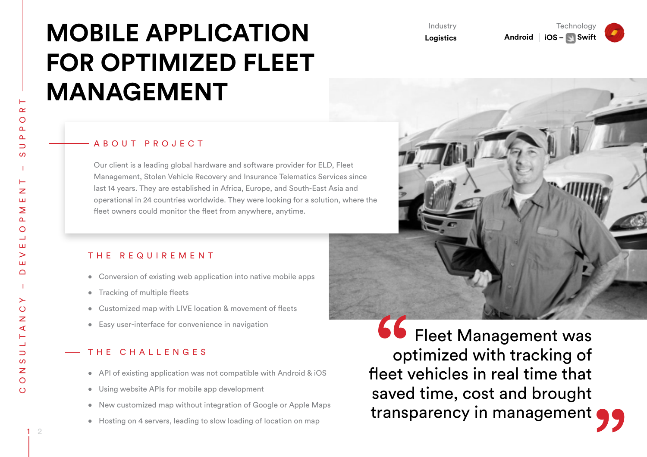# **MOBILE APPLICATION FOR OPTIMIZED FLEET MANAGEMENT**

#### A B O U T P R O J E C T

Our client is a leading global hardware and software provider for ELD, Fleet Management, Stolen Vehicle Recovery and Insurance Telematics Services since last 14 years. They are established in Africa, Europe, and South-East Asia and operational in 24 countries worldwide. They were looking for a solution, where the fleet owners could monitor the fleet from anywhere, anytime.

### THE REQUIREMENT

- Conversion of existing web application into native mobile apps
- Tracking of multiple fleets
- Customized map with LIVE location & movement of fleets
- • Easy user-interface for convenience in navigation

## THE CHALLENGES

- API of existing application was not compatible with Android & iOS
- Using website APIs for mobile app development
- New customized map without integration of Google or Apple Maps
- Hosting on 4 servers, leading to slow loading of location on map

**66** Fleet Management was optimized with tracking of fleet vehicles in real time that saved time, cost and brought transparency in management

Industry **Logistics**